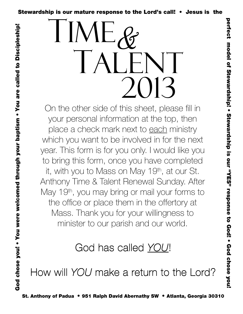Stewardship is our mature response to the Lord's call! • Jesus is the  $\frac{2}{3}$ <br> $\frac{5}{3}$   $\frac{5}{3}$   $\frac{1}{3}$   $\frac{1}{3}$   $\frac{1}{3}$   $\frac{1}{3}$   $\frac{1}{3}$   $\frac{1}{3}$   $\frac{1}{3}$   $\frac{1}{3}$   $\frac{1}{3}$   $\frac{1}{3}$   $\frac{1}{3}$   $\frac{1}{3}$  TALENT 2013  $\mathscr C$ 

On the other side of this sheet, please fill in your personal information at the top, then place a check mark next to each ministry which you want to be involved in for the next year. This form is for you only. I would like you to bring this form, once you have completed it, with you to Mass on May 19<sup>th</sup>, at our St. Anthony Time & Talent Renewal Sunday. After May 19<sup>th</sup>, you may bring or mail your forms to the office or place them in the offertory at Mass. Thank you for your willingness to minister to our parish and our world.

God chose you! • You were welcomed through your baptism • You are called to Discipleship!

God chose you! • You were welcomed through your baptism • You are called to Discipleship!

## God has called YOU!

How will YOU make a return to the Lord?